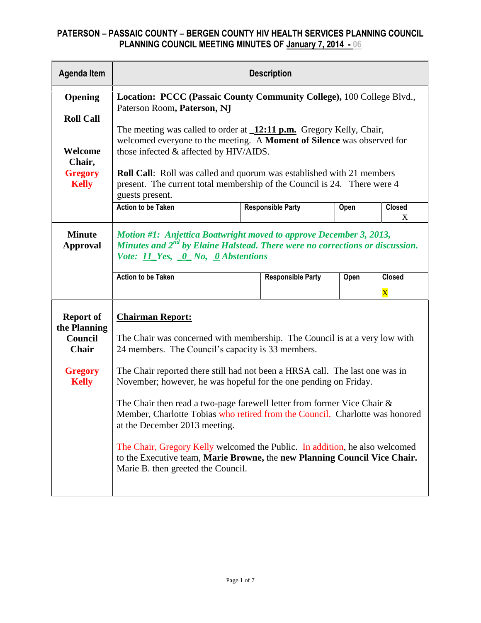| <b>Agenda Item</b>                                                                            | <b>Description</b>                                                                                                                                                                                                                                                                                                                                                                                                                                                                                                                                                                                                                                                                                              |      |                          |      |                         |  |
|-----------------------------------------------------------------------------------------------|-----------------------------------------------------------------------------------------------------------------------------------------------------------------------------------------------------------------------------------------------------------------------------------------------------------------------------------------------------------------------------------------------------------------------------------------------------------------------------------------------------------------------------------------------------------------------------------------------------------------------------------------------------------------------------------------------------------------|------|--------------------------|------|-------------------------|--|
| Opening                                                                                       | Location: PCCC (Passaic County Community College), 100 College Blvd.,<br>Paterson Room, Paterson, NJ                                                                                                                                                                                                                                                                                                                                                                                                                                                                                                                                                                                                            |      |                          |      |                         |  |
| <b>Roll Call</b><br>Welcome<br>Chair,<br><b>Gregory</b><br><b>Kelly</b>                       | The meeting was called to order at $\frac{12:11 \text{ p.m.}}{2}$ Gregory Kelly, Chair,<br>welcomed everyone to the meeting. A Moment of Silence was observed for<br>those infected & affected by HIV/AIDS.<br>Roll Call: Roll was called and quorum was established with 21 members<br>present. The current total membership of the Council is 24. There were 4<br>guests present.                                                                                                                                                                                                                                                                                                                             |      |                          |      |                         |  |
|                                                                                               | <b>Action to be Taken</b>                                                                                                                                                                                                                                                                                                                                                                                                                                                                                                                                                                                                                                                                                       | Open | <b>Closed</b>            |      |                         |  |
| <b>Minute</b><br><b>Approval</b>                                                              | X<br>Motion #1: Anjettica Boatwright moved to approve December 3, 2013,<br>Minutes and 2 <sup>nd</sup> by Elaine Halstead. There were no corrections or discussion.<br>Vote: 11 Yes, 0 No, 0 Abstentions                                                                                                                                                                                                                                                                                                                                                                                                                                                                                                        |      |                          |      |                         |  |
|                                                                                               | <b>Action to be Taken</b>                                                                                                                                                                                                                                                                                                                                                                                                                                                                                                                                                                                                                                                                                       |      | <b>Responsible Party</b> | Open | <b>Closed</b>           |  |
|                                                                                               |                                                                                                                                                                                                                                                                                                                                                                                                                                                                                                                                                                                                                                                                                                                 |      |                          |      | $\overline{\mathbf{X}}$ |  |
| <b>Report of</b><br>the Planning<br>Council<br><b>Chair</b><br><b>Gregory</b><br><b>Kelly</b> | <b>Chairman Report:</b><br>The Chair was concerned with membership. The Council is at a very low with<br>24 members. The Council's capacity is 33 members.<br>The Chair reported there still had not been a HRSA call. The last one was in<br>November; however, he was hopeful for the one pending on Friday.<br>The Chair then read a two-page farewell letter from former Vice Chair $\&$<br>Member, Charlotte Tobias who retired from the Council. Charlotte was honored<br>at the December 2013 meeting.<br>The Chair, Gregory Kelly welcomed the Public. In addition, he also welcomed<br>to the Executive team, Marie Browne, the new Planning Council Vice Chair.<br>Marie B. then greeted the Council. |      |                          |      |                         |  |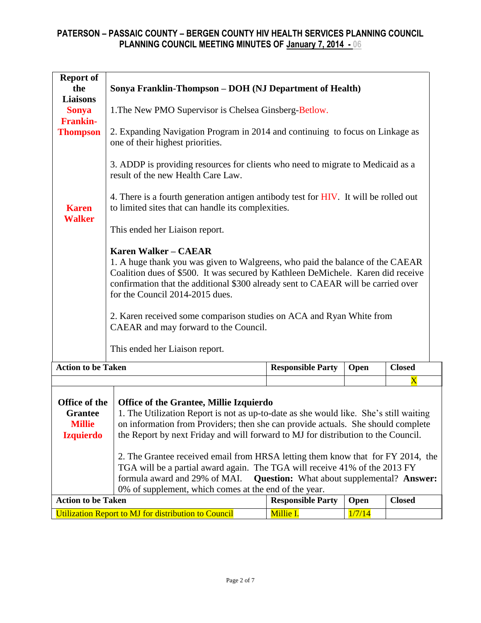| <b>Report of</b><br>the<br><b>Liaisons</b><br><b>Sonya</b><br><b>Frankin-</b><br><b>Thompson</b><br><b>Karen</b><br><b>Walker</b> | Sonya Franklin-Thompson – DOH (NJ Department of Health)<br>1. The New PMO Supervisor is Chelsea Ginsberg-Betlow.<br>2. Expanding Navigation Program in 2014 and continuing to focus on Linkage as<br>one of their highest priorities.<br>3. ADDP is providing resources for clients who need to migrate to Medicaid as a<br>result of the new Health Care Law.<br>4. There is a fourth generation antigen antibody test for HIV. It will be rolled out<br>to limited sites that can handle its complexities.<br>This ended her Liaison report.<br><b>Karen Walker - CAEAR</b><br>1. A huge thank you was given to Walgreens, who paid the balance of the CAEAR<br>Coalition dues of \$500. It was secured by Kathleen DeMichele. Karen did receive<br>confirmation that the additional \$300 already sent to CAEAR will be carried over<br>for the Council 2014-2015 dues.<br>2. Karen received some comparison studies on ACA and Ryan White from |                          |        |               |  |  |
|-----------------------------------------------------------------------------------------------------------------------------------|----------------------------------------------------------------------------------------------------------------------------------------------------------------------------------------------------------------------------------------------------------------------------------------------------------------------------------------------------------------------------------------------------------------------------------------------------------------------------------------------------------------------------------------------------------------------------------------------------------------------------------------------------------------------------------------------------------------------------------------------------------------------------------------------------------------------------------------------------------------------------------------------------------------------------------------------------|--------------------------|--------|---------------|--|--|
|                                                                                                                                   | This ended her Liaison report.                                                                                                                                                                                                                                                                                                                                                                                                                                                                                                                                                                                                                                                                                                                                                                                                                                                                                                                     |                          |        |               |  |  |
| <b>Action to be Taken</b><br><b>Responsible Party</b><br>Open                                                                     |                                                                                                                                                                                                                                                                                                                                                                                                                                                                                                                                                                                                                                                                                                                                                                                                                                                                                                                                                    |                          |        | <b>Closed</b> |  |  |
|                                                                                                                                   |                                                                                                                                                                                                                                                                                                                                                                                                                                                                                                                                                                                                                                                                                                                                                                                                                                                                                                                                                    |                          |        | $\mathbf X$   |  |  |
| Office of the<br><b>Grantee</b><br><b>Millie</b><br><b>Izquierdo</b>                                                              | <b>Office of the Grantee, Millie Izquierdo</b><br>1. The Utilization Report is not as up-to-date as she would like. She's still waiting<br>on information from Providers; then she can provide actuals. She should complete<br>the Report by next Friday and will forward to MJ for distribution to the Council.<br>2. The Grantee received email from HRSA letting them know that for FY 2014, the<br>TGA will be a partial award again. The TGA will receive 41% of the 2013 FY<br>formula award and 29% of MAI.<br><b>Question:</b> What about supplemental? Answer:<br>0% of supplement, which comes at the end of the year.                                                                                                                                                                                                                                                                                                                   |                          |        |               |  |  |
| <b>Action to be Taken</b>                                                                                                         |                                                                                                                                                                                                                                                                                                                                                                                                                                                                                                                                                                                                                                                                                                                                                                                                                                                                                                                                                    | <b>Responsible Party</b> | Open   | <b>Closed</b> |  |  |
|                                                                                                                                   | Utilization Report to MJ for distribution to Council                                                                                                                                                                                                                                                                                                                                                                                                                                                                                                                                                                                                                                                                                                                                                                                                                                                                                               | Millie I.                | 1/7/14 |               |  |  |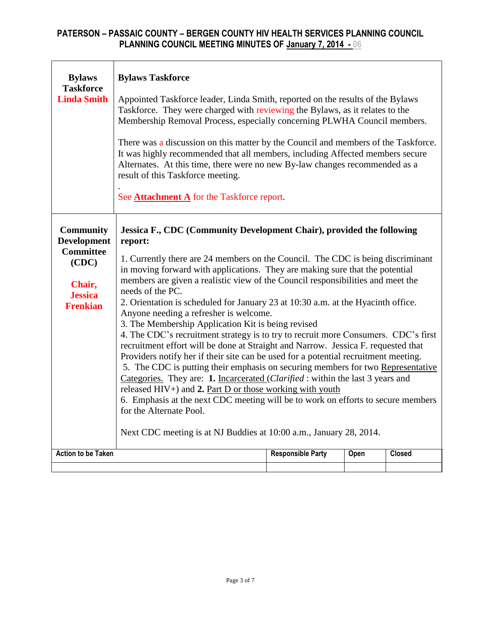| <b>Bylaws</b><br><b>Taskforce</b><br><b>Linda Smith</b>                                                            | <b>Bylaws Taskforce</b><br>Appointed Taskforce leader, Linda Smith, reported on the results of the Bylaws<br>Taskforce. They were charged with reviewing the Bylaws, as it relates to the<br>Membership Removal Process, especially concerning PLWHA Council members.<br>There was a discussion on this matter by the Council and members of the Taskforce.<br>It was highly recommended that all members, including Affected members secure<br>Alternates. At this time, there were no new By-law changes recommended as a<br>result of this Taskforce meeting.<br>See <b>Attachment A</b> for the Taskforce report.                                                                                                                                                                                                                                                                                                                                                                                                                                                                                                                                                                                                                    |                          |      |               |  |  |
|--------------------------------------------------------------------------------------------------------------------|------------------------------------------------------------------------------------------------------------------------------------------------------------------------------------------------------------------------------------------------------------------------------------------------------------------------------------------------------------------------------------------------------------------------------------------------------------------------------------------------------------------------------------------------------------------------------------------------------------------------------------------------------------------------------------------------------------------------------------------------------------------------------------------------------------------------------------------------------------------------------------------------------------------------------------------------------------------------------------------------------------------------------------------------------------------------------------------------------------------------------------------------------------------------------------------------------------------------------------------|--------------------------|------|---------------|--|--|
| <b>Community</b><br><b>Development</b><br><b>Committee</b><br>(CDC)<br>Chair,<br><b>Jessica</b><br><b>Frenkian</b> | Jessica F., CDC (Community Development Chair), provided the following<br>report:<br>1. Currently there are 24 members on the Council. The CDC is being discriminant<br>in moving forward with applications. They are making sure that the potential<br>members are given a realistic view of the Council responsibilities and meet the<br>needs of the PC.<br>2. Orientation is scheduled for January 23 at 10:30 a.m. at the Hyacinth office.<br>Anyone needing a refresher is welcome.<br>3. The Membership Application Kit is being revised<br>4. The CDC's recruitment strategy is to try to recruit more Consumers. CDC's first<br>recruitment effort will be done at Straight and Narrow. Jessica F. requested that<br>Providers notify her if their site can be used for a potential recruitment meeting.<br>5. The CDC is putting their emphasis on securing members for two Representative<br>Categories. They are: 1. Incarcerated (Clarified: within the last 3 years and<br>released $HIV+$ ) and 2. Part D or those working with youth<br>6. Emphasis at the next CDC meeting will be to work on efforts to secure members<br>for the Alternate Pool.<br>Next CDC meeting is at NJ Buddies at 10:00 a.m., January 28, 2014. |                          |      |               |  |  |
| <b>Action to be Taken</b>                                                                                          |                                                                                                                                                                                                                                                                                                                                                                                                                                                                                                                                                                                                                                                                                                                                                                                                                                                                                                                                                                                                                                                                                                                                                                                                                                          | <b>Responsible Party</b> | Open | <b>Closed</b> |  |  |
|                                                                                                                    |                                                                                                                                                                                                                                                                                                                                                                                                                                                                                                                                                                                                                                                                                                                                                                                                                                                                                                                                                                                                                                                                                                                                                                                                                                          |                          |      |               |  |  |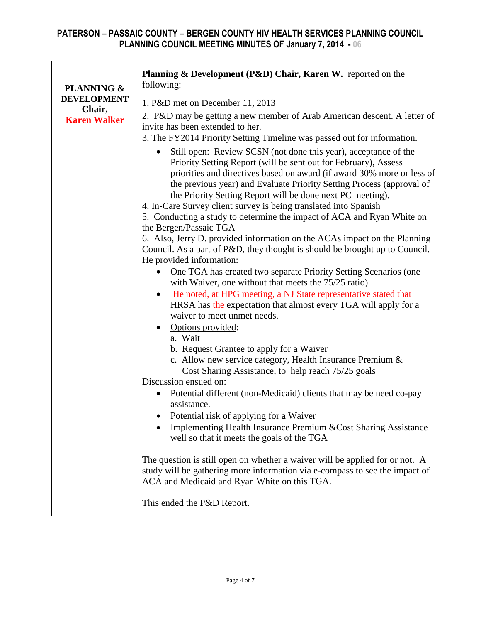| <b>PLANNING &amp;</b>         | Planning & Development (P&D) Chair, Karen W. reported on the<br>following:                                                                                                                                                                                                                                                                                                                                                                                                                        |  |  |  |  |
|-------------------------------|---------------------------------------------------------------------------------------------------------------------------------------------------------------------------------------------------------------------------------------------------------------------------------------------------------------------------------------------------------------------------------------------------------------------------------------------------------------------------------------------------|--|--|--|--|
| <b>DEVELOPMENT</b>            | 1. P&D met on December 11, 2013                                                                                                                                                                                                                                                                                                                                                                                                                                                                   |  |  |  |  |
| Chair,<br><b>Karen Walker</b> | 2. P&D may be getting a new member of Arab American descent. A letter of<br>invite has been extended to her.<br>3. The FY2014 Priority Setting Timeline was passed out for information.                                                                                                                                                                                                                                                                                                           |  |  |  |  |
|                               | Still open: Review SCSN (not done this year), acceptance of the<br>Priority Setting Report (will be sent out for February), Assess<br>priorities and directives based on award (if award 30% more or less of<br>the previous year) and Evaluate Priority Setting Process (approval of<br>the Priority Setting Report will be done next PC meeting).<br>4. In-Care Survey client survey is being translated into Spanish<br>5. Conducting a study to determine the impact of ACA and Ryan White on |  |  |  |  |
|                               | the Bergen/Passaic TGA<br>6. Also, Jerry D. provided information on the ACAs impact on the Planning<br>Council. As a part of P&D, they thought is should be brought up to Council.<br>He provided information:<br>One TGA has created two separate Priority Setting Scenarios (one<br>$\bullet$                                                                                                                                                                                                   |  |  |  |  |
|                               | with Waiver, one without that meets the 75/25 ratio).<br>He noted, at HPG meeting, a NJ State representative stated that<br>$\bullet$<br>HRSA has the expectation that almost every TGA will apply for a<br>waiver to meet unmet needs.                                                                                                                                                                                                                                                           |  |  |  |  |
|                               | Options provided:<br>a. Wait<br>b. Request Grantee to apply for a Waiver<br>c. Allow new service category, Health Insurance Premium &<br>Cost Sharing Assistance, to help reach 75/25 goals                                                                                                                                                                                                                                                                                                       |  |  |  |  |
|                               | Discussion ensued on:<br>Potential different (non-Medicaid) clients that may be need co-pay<br>$\bullet$<br>assistance.<br>Potential risk of applying for a Waiver<br>Implementing Health Insurance Premium & Cost Sharing Assistance                                                                                                                                                                                                                                                             |  |  |  |  |
|                               | well so that it meets the goals of the TGA<br>The question is still open on whether a waiver will be applied for or not. A<br>study will be gathering more information via e-compass to see the impact of<br>ACA and Medicaid and Ryan White on this TGA.                                                                                                                                                                                                                                         |  |  |  |  |
|                               | This ended the P&D Report.                                                                                                                                                                                                                                                                                                                                                                                                                                                                        |  |  |  |  |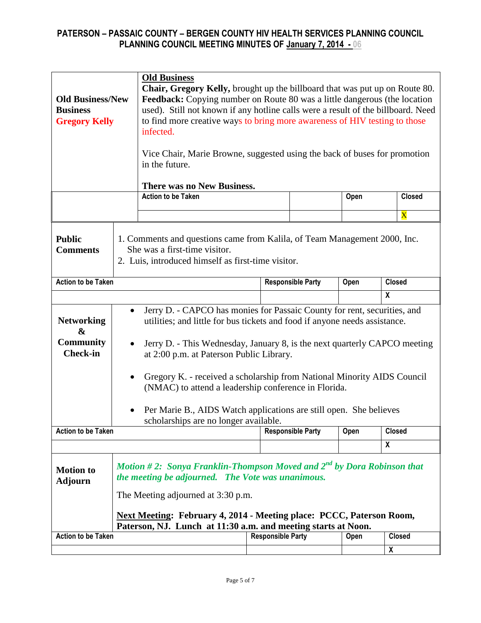| <b>Old Business/New</b><br><b>Business</b><br><b>Gregory Kelly</b> |                                                                                                                                                                                                                                                                                                                                                  | <b>Old Business</b><br><b>Chair, Gregory Kelly, brought up the billboard that was put up on Route 80.</b><br>Feedback: Copying number on Route 80 was a little dangerous (the location<br>used). Still not known if any hotline calls were a result of the billboard. Need<br>to find more creative ways to bring more awareness of HIV testing to those<br>infected.<br>Vice Chair, Marie Browne, suggested using the back of buses for promotion<br>in the future.<br>There was no New Business.                                |  |                          |      |                         |  |
|--------------------------------------------------------------------|--------------------------------------------------------------------------------------------------------------------------------------------------------------------------------------------------------------------------------------------------------------------------------------------------------------------------------------------------|-----------------------------------------------------------------------------------------------------------------------------------------------------------------------------------------------------------------------------------------------------------------------------------------------------------------------------------------------------------------------------------------------------------------------------------------------------------------------------------------------------------------------------------|--|--------------------------|------|-------------------------|--|
|                                                                    |                                                                                                                                                                                                                                                                                                                                                  | <b>Action to be Taken</b>                                                                                                                                                                                                                                                                                                                                                                                                                                                                                                         |  |                          | Open | <b>Closed</b>           |  |
|                                                                    |                                                                                                                                                                                                                                                                                                                                                  |                                                                                                                                                                                                                                                                                                                                                                                                                                                                                                                                   |  |                          |      | $\overline{\mathbf{X}}$ |  |
| <b>Public</b><br><b>Comments</b>                                   | 1. Comments and questions came from Kalila, of Team Management 2000, Inc.<br>She was a first-time visitor.<br>2. Luis, introduced himself as first-time visitor.                                                                                                                                                                                 |                                                                                                                                                                                                                                                                                                                                                                                                                                                                                                                                   |  |                          |      |                         |  |
| <b>Action to be Taken</b>                                          |                                                                                                                                                                                                                                                                                                                                                  |                                                                                                                                                                                                                                                                                                                                                                                                                                                                                                                                   |  | <b>Responsible Party</b> | Open | <b>Closed</b>           |  |
|                                                                    |                                                                                                                                                                                                                                                                                                                                                  |                                                                                                                                                                                                                                                                                                                                                                                                                                                                                                                                   |  |                          |      | $\boldsymbol{x}$        |  |
| <b>Networking</b><br>&<br><b>Community</b><br><b>Check-in</b>      | $\bullet$                                                                                                                                                                                                                                                                                                                                        | Jerry D. - CAPCO has monies for Passaic County for rent, securities, and<br>utilities; and little for bus tickets and food if anyone needs assistance.<br>Jerry D. - This Wednesday, January 8, is the next quarterly CAPCO meeting<br>at 2:00 p.m. at Paterson Public Library.<br>Gregory K. - received a scholarship from National Minority AIDS Council<br>(NMAC) to attend a leadership conference in Florida.<br>Per Marie B., AIDS Watch applications are still open. She believes<br>scholarships are no longer available. |  |                          |      |                         |  |
| <b>Action to be Taken</b>                                          |                                                                                                                                                                                                                                                                                                                                                  |                                                                                                                                                                                                                                                                                                                                                                                                                                                                                                                                   |  | <b>Responsible Party</b> | Open | <b>Closed</b>           |  |
| <b>Motion to</b><br><b>Adjourn</b><br><b>Action to be Taken</b>    | X<br>Motion #2: Sonya Franklin-Thompson Moved and $2^{nd}$ by Dora Robinson that<br>the meeting be adjourned. The Vote was unanimous.<br>The Meeting adjourned at 3:30 p.m.<br>Next Meeting: February 4, 2014 - Meeting place: PCCC, Paterson Room,<br>Paterson, NJ. Lunch at 11:30 a.m. and meeting starts at Noon.<br><b>Responsible Party</b> |                                                                                                                                                                                                                                                                                                                                                                                                                                                                                                                                   |  |                          |      |                         |  |
|                                                                    |                                                                                                                                                                                                                                                                                                                                                  |                                                                                                                                                                                                                                                                                                                                                                                                                                                                                                                                   |  |                          | Open | <b>Closed</b><br>χ      |  |
|                                                                    |                                                                                                                                                                                                                                                                                                                                                  |                                                                                                                                                                                                                                                                                                                                                                                                                                                                                                                                   |  |                          |      |                         |  |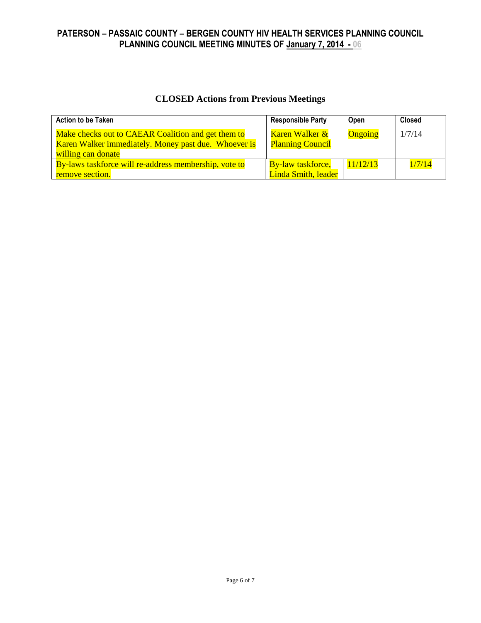# **CLOSED Actions from Previous Meetings**

| <b>Action to be Taken</b>                                                                                                        | <b>Responsible Party</b>                  | Open     | <b>Closed</b> |
|----------------------------------------------------------------------------------------------------------------------------------|-------------------------------------------|----------|---------------|
| Make checks out to CAEAR Coalition and get them to<br>Karen Walker immediately. Money past due. Whoever is<br>willing can donate | Karen Walker &<br><b>Planning Council</b> | Ongoing  | 1/7/14        |
| By-laws taskforce will re-address membership, vote to                                                                            | <b>By-law taskforce,</b>                  | 11/12/13 | 1/7/14        |
| remove section.                                                                                                                  | Linda Smith, leader                       |          |               |